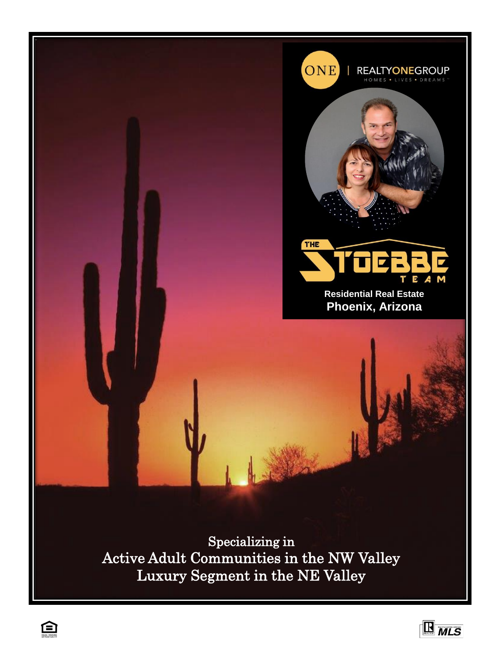



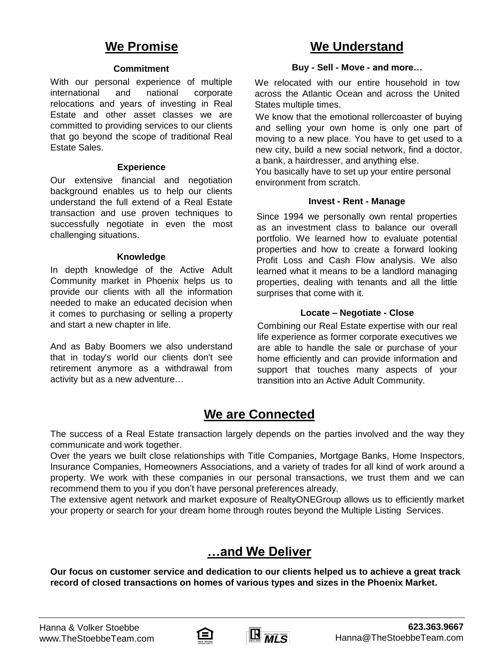#### **Commitment**

With our personal experience of multiple international and national corporate relocations and years of investing in Real Estate and other asset classes we are committed to providing services to our clients that go beyond the scope of traditional Real Estate Sales.

#### **Experience**

Our extensive financial and negotiation background enables us to help our clients understand the full extend of a Real Estate transaction and use proven techniques to successfully negotiate in even the most challenging situations.

#### **Knowledge**

In depth knowledge of the Active Adult Community market in Phoenix helps us to provide our clients with all the information needed to make an educated decision when it comes to purchasing or selling a property and start a new chapter in life.

And as Baby Boomers we also understand that in today's world our clients don't see retirement anymore as a withdrawal from activity but as a new adventure…

# **We Promise We Understand**

#### **Buy - Sell - Move - and more…**

We relocated with our entire household in tow across the Atlantic Ocean and across the United States multiple times.

We know that the emotional rollercoaster of buying and selling your own home is only one part of moving to a new place. You have to get used to a new city, build a new social network, find a doctor, a bank, a hairdresser, and anything else.

You basically have to set up your entire personal environment from scratch.

#### **Invest - Rent - Manage**

Since 1994 we personally own rental properties as an investment class to balance our overall portfolio. We learned how to evaluate potential properties and how to create a forward looking Profit Loss and Cash Flow analysis. We also learned what it means to be a landlord managing properties, dealing with tenants and all the little surprises that come with it.

#### **Locate – Negotiate - Close**

Combining our Real Estate expertise with our real life experience as former corporate executives we are able to handle the sale or purchase of your home efficiently and can provide information and support that touches many aspects of your transition into an Active Adult Community.

# **We are Connected**

The success of a Real Estate transaction largely depends on the parties involved and the way they communicate and work together.

Over the years we built close relationships with Title Companies, Mortgage Banks, Home Inspectors, Insurance Companies, Homeowners Associations, and a variety of trades for all kind of work around a property. We work with these companies in our personal transactions, we trust them and we can recommend them to you if you don't have personal preferences already.

The extensive agent network and market exposure of RealtyONEGroup allows us to efficiently market your property or search for your dream home through routes beyond the Multiple Listing Services.

# **…and We Deliver**

**Our focus on customer service and dedication to our clients helped us to achieve a great track record of closed transactions on homes of various types and sizes in the Phoenix Market.**



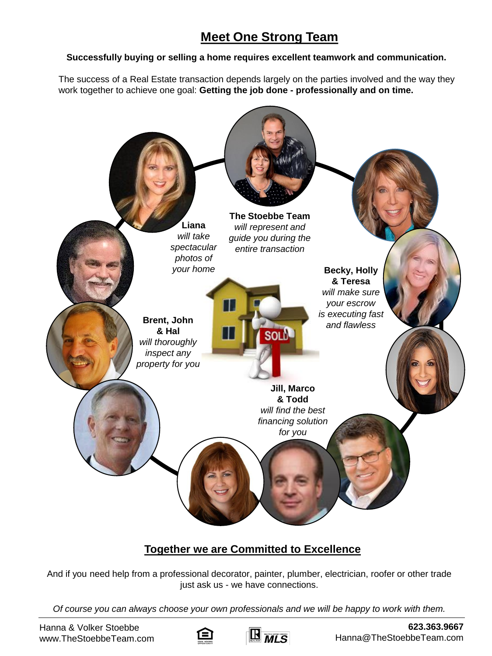# **Meet One Strong Team**

### **Successfully buying or selling a home requires excellent teamwork and communication.**

The success of a Real Estate transaction depends largely on the parties involved and the way they work together to achieve one goal: **Getting the job done - professionally and on time.**



# **Together we are Committed to Excellence**

And if you need help from a professional decorator, painter, plumber, electrician, roofer or other trade just ask us - we have connections.

*Of course you can always choose your own professionals and we will be happy to work with them.*



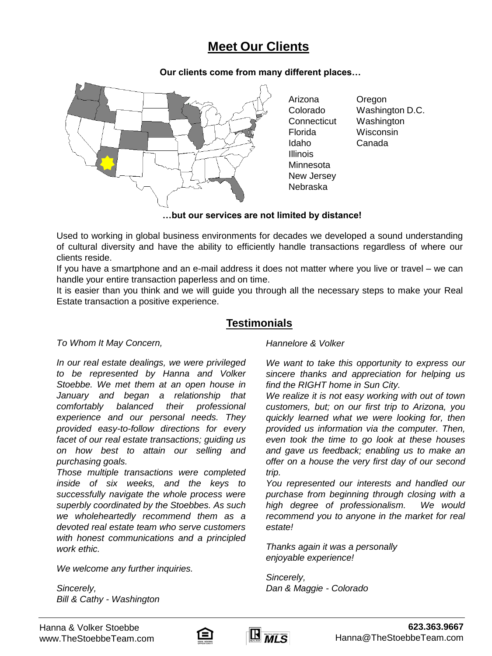# **Meet Our Clients**

**Our clients come from many different places…**



Arizona Colorado **Connecticut** Florida Idaho Illinois Minnesota New Jersey Nebraska

Oregon Washington D.C. Washington **Wisconsin** Canada

**…but our services are not limited by distance!**

Used to working in global business environments for decades we developed a sound understanding of cultural diversity and have the ability to efficiently handle transactions regardless of where our clients reside.

If you have a smartphone and an e-mail address it does not matter where you live or travel – we can handle your entire transaction paperless and on time.

It is easier than you think and we will guide you through all the necessary steps to make your Real Estate transaction a positive experience.

### **Testimonials**

*To Whom It May Concern,*

*In our real estate dealings, we were privileged to be represented by Hanna and Volker Stoebbe. We met them at an open house in January and began a relationship that comfortably balanced their professional experience and our personal needs. They provided easy-to-follow directions for every facet of our real estate transactions; guiding us on how best to attain our selling and purchasing goals.*

*Those multiple transactions were completed inside of six weeks, and the keys to successfully navigate the whole process were superbly coordinated by the Stoebbes. As such we wholeheartedly recommend them as a devoted real estate team who serve customers with honest communications and a principled work ethic.*

*We welcome any further inquiries.*

*Sincerely, Bill & Cathy - Washington* *Hannelore & Volker*

*We want to take this opportunity to express our sincere thanks and appreciation for helping us find the RIGHT home in Sun City.*

*We realize it is not easy working with out of town customers, but; on our first trip to Arizona, you quickly learned what we were looking for, then provided us information via the computer. Then, even took the time to go look at these houses and gave us feedback; enabling us to make an offer on a house the very first day of our second trip.*

*You represented our interests and handled our purchase from beginning through closing with a high degree of professionalism. We would recommend you to anyone in the market for real estate!*

*Thanks again it was a personally enjoyable experience!*

*Sincerely, Dan & Maggie - Colorado*



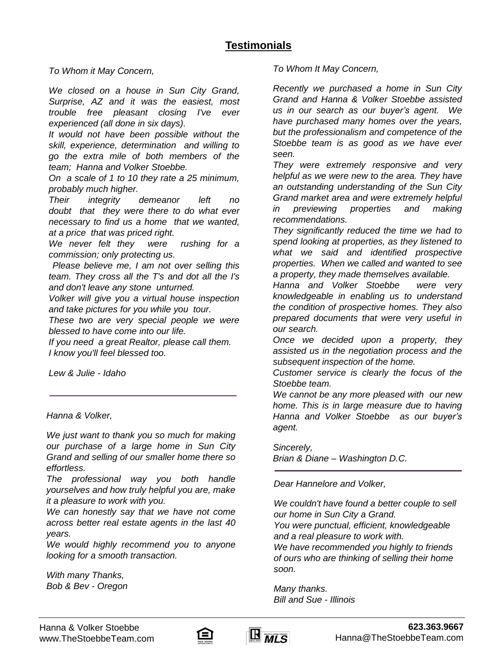*To Whom it May Concern,*

*We closed on a house in Sun City Grand, Surprise, AZ and it was the easiest, most trouble free pleasant closing I've ever experienced (all done in six days).*

*It would not have been possible without the skill, experience, determination and willing to go the extra mile of both members of the team; Hanna and Volker Stoebbe.*

*On a scale of 1 to 10 they rate a 25 minimum, probably much higher.*

*Their integrity demeanor left no doubt that they were there to do what ever necessary to find us a home that we wanted, at a price that was priced right.*

*We never felt they were rushing for a commission; only protecting us.*

*Please believe me, I am not over selling this team. They cross all the T's and dot all the I's and don't leave any stone unturned.*

*Volker will give you a virtual house inspection and take pictures for you while you tour.*

*These two are very special people we were blessed to have come into our life.*

*If you need a great Realtor, please call them. I know you'll feel blessed too.*

*Lew & Julie - Idaho*

*Hanna & Volker,*

*We just want to thank you so much for making our purchase of a large home in Sun City Grand and selling of our smaller home there so effortless.*

*The professional way you both handle yourselves and how truly helpful you are, make it a pleasure to work with you.*

*We can honestly say that we have not come across better real estate agents in the last 40 years.*

*We would highly recommend you to anyone looking for a smooth transaction.*

*With many Thanks, Bob & Bev - Oregon* *To Whom It May Concern,*

*Recently we purchased a home in Sun City Grand and Hanna & Volker Stoebbe assisted us in our search as our buyer's agent. We have purchased many homes over the years, but the professionalism and competence of the Stoebbe team is as good as we have ever seen.*

*They were extremely responsive and very helpful as we were new to the area. They have an outstanding understanding of the Sun City Grand market area and were extremely helpful in previewing properties and making recommendations.*

*They significantly reduced the time we had to spend looking at properties, as they listened to what we said and identified prospective properties. When we called and wanted to see a property, they made themselves available.*

*Hanna and Volker Stoebbe were very knowledgeable in enabling us to understand the condition of prospective homes. They also prepared documents that were very useful in our search.*

*Once we decided upon a property, they assisted us in the negotiation process and the subsequent inspection of the home.*

*Customer service is clearly the focus of the Stoebbe team.*

*We cannot be any more pleased with our new home. This is in large measure due to having Hanna and Volker Stoebbe as our buyer's agent.*

*Sincerely,*

*Brian & Diane – Washington D.C.*

*Dear Hannelore and Volker,*

*We couldn't have found a better couple to sell our home in Sun City a Grand.*

*You were punctual, efficient, knowledgeable and a real pleasure to work with.*

*We have recommended you highly to friends of ours who are thinking of selling their home soon.*

*Many thanks. Bill and Sue - Illinois*



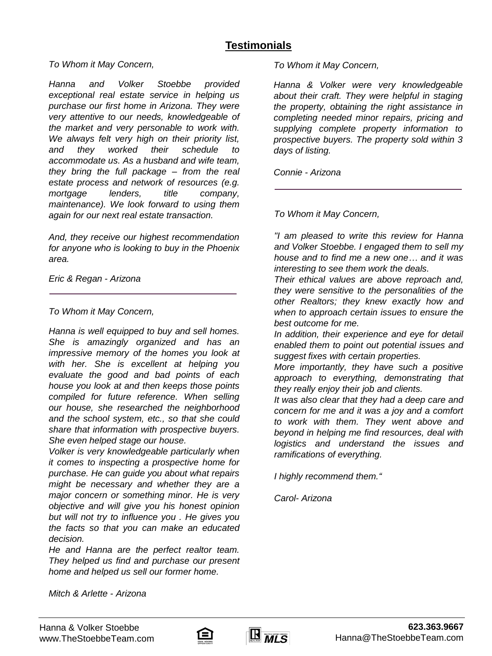### **Testimonials**

#### *To Whom it May Concern,*

*Hanna and Volker Stoebbe provided exceptional real estate service in helping us purchase our first home in Arizona. They were very attentive to our needs, knowledgeable of the market and very personable to work with. We always felt very high on their priority list, and they worked their schedule to accommodate us. As a husband and wife team, they bring the full package – from the real estate process and network of resources (e.g. mortgage lenders, title company, maintenance). We look forward to using them again for our next real estate transaction.*

*And, they receive our highest recommendation for anyone who is looking to buy in the Phoenix area.*

*Eric & Regan - Arizona*

*To Whom it May Concern,*

*Hanna is well equipped to buy and sell homes. She is amazingly organized and has an impressive memory of the homes you look at with her. She is excellent at helping you evaluate the good and bad points of each house you look at and then keeps those points compiled for future reference. When selling our house, she researched the neighborhood and the school system, etc., so that she could share that information with prospective buyers. She even helped stage our house.*

*Volker is very knowledgeable particularly when it comes to inspecting a prospective home for purchase. He can guide you about what repairs might be necessary and whether they are a major concern or something minor. He is very objective and will give you his honest opinion but will not try to influence you . He gives you the facts so that you can make an educated decision.*

*He and Hanna are the perfect realtor team. They helped us find and purchase our present home and helped us sell our former home.*

*To Whom it May Concern,*

*Hanna & Volker were very knowledgeable about their craft. They were helpful in staging the property, obtaining the right assistance in completing needed minor repairs, pricing and supplying complete property information to prospective buyers. The property sold within 3 days of listing.*

*Connie - Arizona*

*To Whom it May Concern,*

*"I am pleased to write this review for Hanna and Volker Stoebbe. I engaged them to sell my house and to find me a new one… and it was interesting to see them work the deals.*

*Their ethical values are above reproach and, they were sensitive to the personalities of the other Realtors; they knew exactly how and when to approach certain issues to ensure the best outcome for me.*

*In addition, their experience and eye for detail enabled them to point out potential issues and suggest fixes with certain properties.*

*More importantly, they have such a positive approach to everything, demonstrating that they really enjoy their job and clients.*

*It was also clear that they had a deep care and concern for me and it was a joy and a comfort to work with them. They went above and beyond in helping me find resources, deal with logistics and understand the issues and ramifications of everything.*

*I highly recommend them."*

*Carol- Arizona*

*Mitch & Arlette - Arizona*



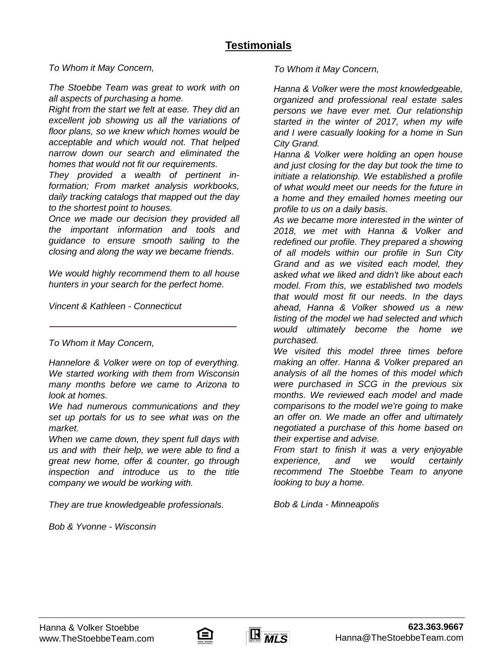*To Whom it May Concern,*

*The Stoebbe Team was great to work with on all aspects of purchasing a home.*

*Right from the start we felt at ease. They did an excellent job showing us all the variations of floor plans, so we knew which homes would be acceptable and which would not. That helped narrow down our search and eliminated the homes that would not fit our requirements.*

*They provided a wealth of pertinent information; From market analysis workbooks, daily tracking catalogs that mapped out the day to the shortest point to houses.*

*Once we made our decision they provided all the important information and tools and guidance to ensure smooth sailing to the closing and along the way we became friends.*

*We would highly recommend them to all house hunters in your search for the perfect home.*

*Vincent & Kathleen - Connecticut*

#### *To Whom it May Concern,*

*Hannelore & Volker were on top of everything. We started working with them from Wisconsin many months before we came to Arizona to look at homes.*

*We had numerous communications and they set up portals for us to see what was on the market.*

*When we came down, they spent full days with us and with their help, we were able to find a great new home, offer & counter, go through inspection and introduce us to the title company we would be working with.*

*They are true knowledgeable professionals.*

*Bob & Yvonne - Wisconsin*

*To Whom it May Concern,*

*Hanna & Volker were the most knowledgeable, organized and professional real estate sales persons we have ever met. Our relationship started in the winter of 2017, when my wife and I were casually looking for a home in Sun City Grand.*

*Hanna & Volker were holding an open house and just closing for the day but took the time to initiate a relationship. We established a profile of what would meet our needs for the future in a home and they emailed homes meeting our profile to us on a daily basis.*

*As we became more interested in the winter of 2018, we met with Hanna & Volker and redefined our profile. They prepared a showing of all models within our profile in Sun City Grand and as we visited each model, they asked what we liked and didn't like about each model. From this, we established two models that would most fit our needs. In the days ahead, Hanna & Volker showed us a new listing of the model we had selected and which would ultimately become the home we purchased.*

*We visited this model three times before making an offer. Hanna & Volker prepared an analysis of all the homes of this model which were purchased in SCG in the previous six months. We reviewed each model and made comparisons to the model we're going to make an offer on. We made an offer and ultimately negotiated a purchase of this home based on their expertise and advise.*

*From start to finish it was a very enjoyable experience, and we would certainly recommend The Stoebbe Team to anyone looking to buy a home.*

*Bob & Linda - Minneapolis*



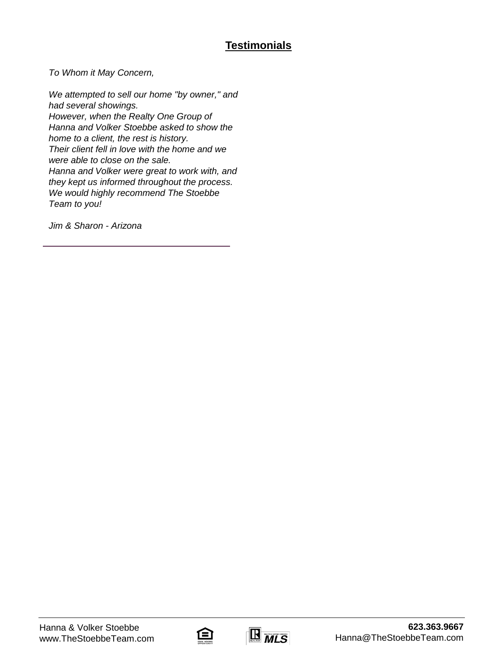## **Testimonials**

*To Whom it May Concern,*

*We attempted to sell our home "by owner," and had several showings. However, when the Realty One Group of Hanna and Volker Stoebbe asked to show the home to a client, the rest is history. Their client fell in love with the home and we were able to close on the sale. Hanna and Volker were great to work with, and they kept us informed throughout the process. We would highly recommend The Stoebbe Team to you!*

*Jim & Sharon - Arizona*



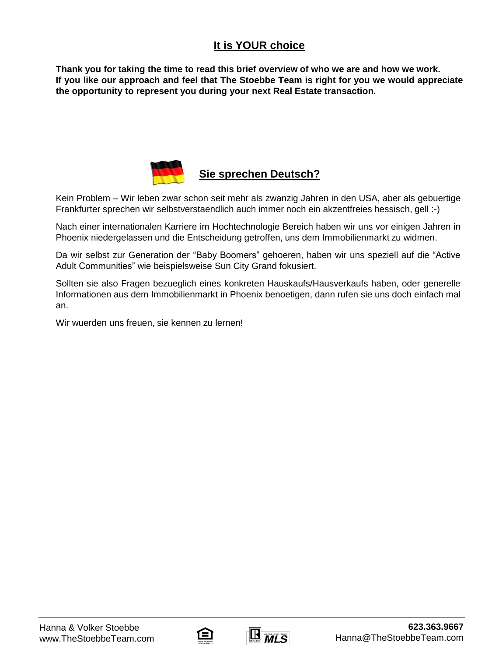### **It is YOUR choice**

**Thank you for taking the time to read this brief overview of who we are and how we work. If you like our approach and feel that The Stoebbe Team is right for you we would appreciate the opportunity to represent you during your next Real Estate transaction.**



### **Sie sprechen Deutsch?**

Kein Problem – Wir leben zwar schon seit mehr als zwanzig Jahren in den USA, aber als gebuertige Frankfurter sprechen wir selbstverstaendlich auch immer noch ein akzentfreies hessisch, gell :-)

Nach einer internationalen Karriere im Hochtechnologie Bereich haben wir uns vor einigen Jahren in Phoenix niedergelassen und die Entscheidung getroffen, uns dem Immobilienmarkt zu widmen.

Da wir selbst zur Generation der "Baby Boomers" gehoeren, haben wir uns speziell auf die "Active Adult Communities" wie beispielsweise Sun City Grand fokusiert.

Sollten sie also Fragen bezueglich eines konkreten Hauskaufs/Hausverkaufs haben, oder generelle Informationen aus dem Immobilienmarkt in Phoenix benoetigen, dann rufen sie uns doch einfach mal an.

Wir wuerden uns freuen, sie kennen zu lernen!